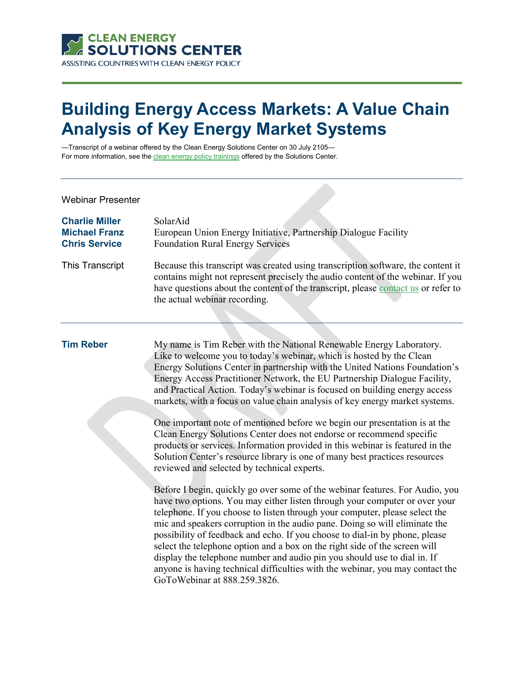

## **Building Energy Access Markets: A Value Chain Analysis of Key Energy Market Systems**

—Transcript of a webinar offered by the Clean Energy Solutions Center on 30 July 2105 For more information, see th[e clean energy policy trainings](https://cleanenergysolutions.org/training) offered by the Solutions Center.

| <b>Charlie Miller</b><br><b>Michael Franz</b><br><b>Chris Service</b> | SolarAid<br>European Union Energy Initiative, Partnership Dialogue Facility<br><b>Foundation Rural Energy Services</b>                                                                                                                                                                                                                                                                                                                                                                                                                                                                                                                                                            |
|-----------------------------------------------------------------------|-----------------------------------------------------------------------------------------------------------------------------------------------------------------------------------------------------------------------------------------------------------------------------------------------------------------------------------------------------------------------------------------------------------------------------------------------------------------------------------------------------------------------------------------------------------------------------------------------------------------------------------------------------------------------------------|
| This Transcript                                                       | Because this transcript was created using transcription software, the content it<br>contains might not represent precisely the audio content of the webinar. If you<br>have questions about the content of the transcript, please contact us or refer to<br>the actual webinar recording.                                                                                                                                                                                                                                                                                                                                                                                         |
| <b>Tim Reber</b>                                                      | My name is Tim Reber with the National Renewable Energy Laboratory.<br>Like to welcome you to today's webinar, which is hosted by the Clean<br>Energy Solutions Center in partnership with the United Nations Foundation's<br>Energy Access Practitioner Network, the EU Partnership Dialogue Facility,<br>and Practical Action. Today's webinar is focused on building energy access<br>markets, with a focus on value chain analysis of key energy market systems.                                                                                                                                                                                                              |
|                                                                       | One important note of mentioned before we begin our presentation is at the<br>Clean Energy Solutions Center does not endorse or recommend specific<br>products or services. Information provided in this webinar is featured in the<br>Solution Center's resource library is one of many best practices resources<br>reviewed and selected by technical experts.                                                                                                                                                                                                                                                                                                                  |
|                                                                       | Before I begin, quickly go over some of the webinar features. For Audio, you<br>have two options. You may either listen through your computer or over your<br>telephone. If you choose to listen through your computer, please select the<br>mic and speakers corruption in the audio pane. Doing so will eliminate the<br>possibility of feedback and echo. If you choose to dial-in by phone, please<br>select the telephone option and a box on the right side of the screen will<br>display the telephone number and audio pin you should use to dial in. If<br>anyone is having technical difficulties with the webinar, you may contact the<br>GoToWebinar at 888.259.3826. |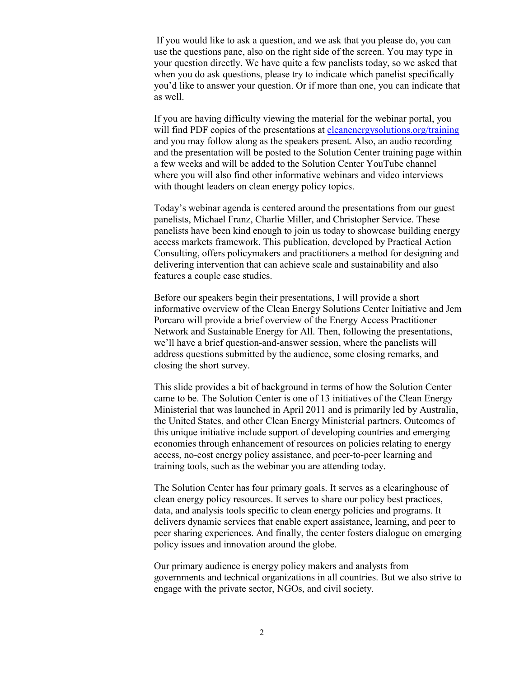If you would like to ask a question, and we ask that you please do, you can use the questions pane, also on the right side of the screen. You may type in your question directly. We have quite a few panelists today, so we asked that when you do ask questions, please try to indicate which panelist specifically you'd like to answer your question. Or if more than one, you can indicate that as well.

If you are having difficulty viewing the material for the webinar portal, you will find PDF copies of the presentations at cleanenergy solutions.org/training and you may follow along as the speakers present. Also, an audio recording and the presentation will be posted to the Solution Center training page within a few weeks and will be added to the Solution Center YouTube channel where you will also find other informative webinars and video interviews with thought leaders on clean energy policy topics.

Today's webinar agenda is centered around the presentations from our guest panelists, Michael Franz, Charlie Miller, and Christopher Service. These panelists have been kind enough to join us today to showcase building energy access markets framework. This publication, developed by Practical Action Consulting, offers policymakers and practitioners a method for designing and delivering intervention that can achieve scale and sustainability and also features a couple case studies.

Before our speakers begin their presentations, I will provide a short informative overview of the Clean Energy Solutions Center Initiative and Jem Porcaro will provide a brief overview of the Energy Access Practitioner Network and Sustainable Energy for All. Then, following the presentations, we'll have a brief question-and-answer session, where the panelists will address questions submitted by the audience, some closing remarks, and closing the short survey.

This slide provides a bit of background in terms of how the Solution Center came to be. The Solution Center is one of 13 initiatives of the Clean Energy Ministerial that was launched in April 2011 and is primarily led by Australia, the United States, and other Clean Energy Ministerial partners. Outcomes of this unique initiative include support of developing countries and emerging economies through enhancement of resources on policies relating to energy access, no-cost energy policy assistance, and peer-to-peer learning and training tools, such as the webinar you are attending today.

The Solution Center has four primary goals. It serves as a clearinghouse of clean energy policy resources. It serves to share our policy best practices, data, and analysis tools specific to clean energy policies and programs. It delivers dynamic services that enable expert assistance, learning, and peer to peer sharing experiences. And finally, the center fosters dialogue on emerging policy issues and innovation around the globe.

Our primary audience is energy policy makers and analysts from governments and technical organizations in all countries. But we also strive to engage with the private sector, NGOs, and civil society.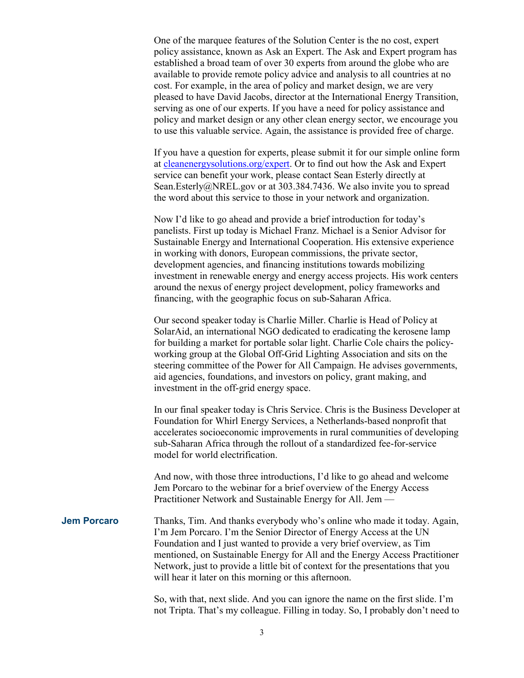One of the marquee features of the Solution Center is the no cost, expert policy assistance, known as Ask an Expert. The Ask and Expert program has established a broad team of over 30 experts from around the globe who are available to provide remote policy advice and analysis to all countries at no cost. For example, in the area of policy and market design, we are very pleased to have David Jacobs, director at the International Energy Transition, serving as one of our experts. If you have a need for policy assistance and policy and market design or any other clean energy sector, we encourage you to use this valuable service. Again, the assistance is provided free of charge.

If you have a question for experts, please submit it for our simple online form at [cleanenergysolutions.org/expert.](https://cleanenergysolutions.org/expert) Or to find out how the Ask and Expert service can benefit your work, please contact Sean Esterly directly at Sean.Esterly@NREL.gov or at 303.384.7436. We also invite you to spread the word about this service to those in your network and organization.

Now I'd like to go ahead and provide a brief introduction for today's panelists. First up today is Michael Franz. Michael is a Senior Advisor for Sustainable Energy and International Cooperation. His extensive experience in working with donors, European commissions, the private sector, development agencies, and financing institutions towards mobilizing investment in renewable energy and energy access projects. His work centers around the nexus of energy project development, policy frameworks and financing, with the geographic focus on sub-Saharan Africa.

Our second speaker today is Charlie Miller. Charlie is Head of Policy at SolarAid, an international NGO dedicated to eradicating the kerosene lamp for building a market for portable solar light. Charlie Cole chairs the policyworking group at the Global Off-Grid Lighting Association and sits on the steering committee of the Power for All Campaign. He advises governments, aid agencies, foundations, and investors on policy, grant making, and investment in the off-grid energy space.

In our final speaker today is Chris Service. Chris is the Business Developer at Foundation for Whirl Energy Services, a Netherlands-based nonprofit that accelerates socioeconomic improvements in rural communities of developing sub-Saharan Africa through the rollout of a standardized fee-for-service model for world electrification.

And now, with those three introductions, I'd like to go ahead and welcome Jem Porcaro to the webinar for a brief overview of the Energy Access Practitioner Network and Sustainable Energy for All. Jem —

**Jem Porcaro** Thanks, Tim. And thanks everybody who's online who made it today. Again, I'm Jem Porcaro. I'm the Senior Director of Energy Access at the UN Foundation and I just wanted to provide a very brief overview, as Tim mentioned, on Sustainable Energy for All and the Energy Access Practitioner Network, just to provide a little bit of context for the presentations that you will hear it later on this morning or this afternoon.

> So, with that, next slide. And you can ignore the name on the first slide. I'm not Tripta. That's my colleague. Filling in today. So, I probably don't need to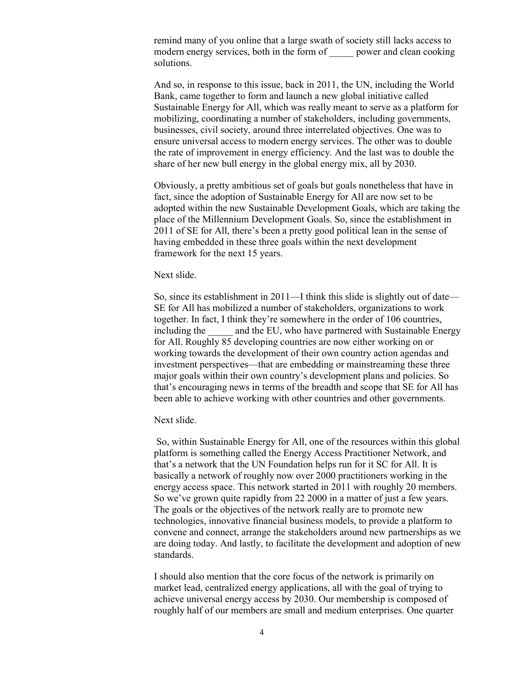remind many of you online that a large swath of society still lacks access to modern energy services, both in the form of power and clean cooking solutions.

And so, in response to this issue, back in 2011, the UN, including the World Bank, came together to form and launch a new global initiative called Sustainable Energy for All, which was really meant to serve as a platform for mobilizing, coordinating a number of stakeholders, including governments, businesses, civil society, around three interrelated objectives. One was to ensure universal access to modern energy services. The other was to double the rate of improvement in energy efficiency. And the last was to double the share of her new bull energy in the global energy mix, all by 2030.

Obviously, a pretty ambitious set of goals but goals nonetheless that have in fact, since the adoption of Sustainable Energy for All are now set to be adopted within the new Sustainable Development Goals, which are taking the place of the Millennium Development Goals. So, since the establishment in 2011 of SE for All, there's been a pretty good political lean in the sense of having embedded in these three goals within the next development framework for the next 15 years.

Next slide.

So, since its establishment in 2011—I think this slide is slightly out of date— SE for All has mobilized a number of stakeholders, organizations to work together. In fact, I think they're somewhere in the order of 106 countries, including the and the EU, who have partnered with Sustainable Energy for All. Roughly 85 developing countries are now either working on or working towards the development of their own country action agendas and investment perspectives—that are embedding or mainstreaming these three major goals within their own country's development plans and policies. So that's encouraging news in terms of the breadth and scope that SE for All has been able to achieve working with other countries and other governments.

Next slide.

So, within Sustainable Energy for All, one of the resources within this global platform is something called the Energy Access Practitioner Network, and that's a network that the UN Foundation helps run for it SC for All. It is basically a network of roughly now over 2000 practitioners working in the energy access space. This network started in 2011 with roughly 20 members. So we've grown quite rapidly from 22 2000 in a matter of just a few years. The goals or the objectives of the network really are to promote new technologies, innovative financial business models, to provide a platform to convene and connect, arrange the stakeholders around new partnerships as we are doing today. And lastly, to facilitate the development and adoption of new standards.

I should also mention that the core focus of the network is primarily on market lead, centralized energy applications, all with the goal of trying to achieve universal energy access by 2030. Our membership is composed of roughly half of our members are small and medium enterprises. One quarter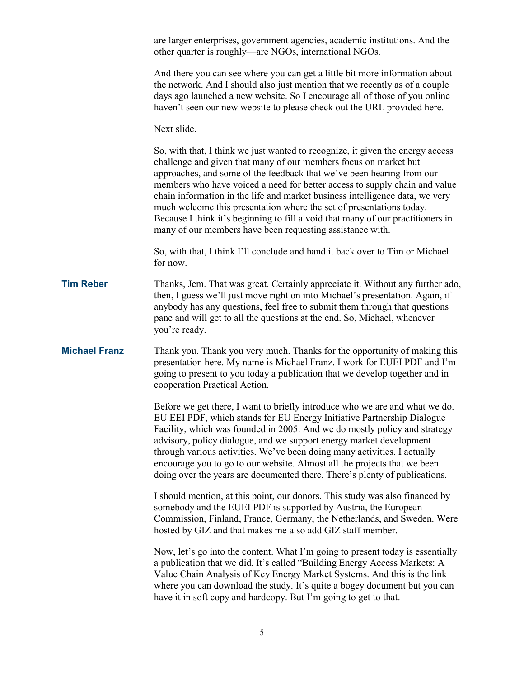|                      | are larger enterprises, government agencies, academic institutions. And the<br>other quarter is roughly—are NGOs, international NGOs.                                                                                                                                                                                                                                                                                                                                                                                                                                                                             |
|----------------------|-------------------------------------------------------------------------------------------------------------------------------------------------------------------------------------------------------------------------------------------------------------------------------------------------------------------------------------------------------------------------------------------------------------------------------------------------------------------------------------------------------------------------------------------------------------------------------------------------------------------|
|                      | And there you can see where you can get a little bit more information about<br>the network. And I should also just mention that we recently as of a couple<br>days ago launched a new website. So I encourage all of those of you online<br>haven't seen our new website to please check out the URL provided here.                                                                                                                                                                                                                                                                                               |
|                      | Next slide.                                                                                                                                                                                                                                                                                                                                                                                                                                                                                                                                                                                                       |
|                      | So, with that, I think we just wanted to recognize, it given the energy access<br>challenge and given that many of our members focus on market but<br>approaches, and some of the feedback that we've been hearing from our<br>members who have voiced a need for better access to supply chain and value<br>chain information in the life and market business intelligence data, we very<br>much welcome this presentation where the set of presentations today.<br>Because I think it's beginning to fill a void that many of our practitioners in<br>many of our members have been requesting assistance with. |
|                      | So, with that, I think I'll conclude and hand it back over to Tim or Michael<br>for now.                                                                                                                                                                                                                                                                                                                                                                                                                                                                                                                          |
| <b>Tim Reber</b>     | Thanks, Jem. That was great. Certainly appreciate it. Without any further ado,<br>then, I guess we'll just move right on into Michael's presentation. Again, if<br>anybody has any questions, feel free to submit them through that questions<br>pane and will get to all the questions at the end. So, Michael, whenever<br>you're ready.                                                                                                                                                                                                                                                                        |
| <b>Michael Franz</b> | Thank you. Thank you very much. Thanks for the opportunity of making this<br>presentation here. My name is Michael Franz. I work for EUEI PDF and I'm<br>going to present to you today a publication that we develop together and in<br>cooperation Practical Action.                                                                                                                                                                                                                                                                                                                                             |
|                      | Before we get there, I want to briefly introduce who we are and what we do.<br>EU EEI PDF, which stands for EU Energy Initiative Partnership Dialogue<br>Facility, which was founded in 2005. And we do mostly policy and strategy<br>advisory, policy dialogue, and we support energy market development<br>through various activities. We've been doing many activities. I actually<br>encourage you to go to our website. Almost all the projects that we been<br>doing over the years are documented there. There's plenty of publications.                                                                   |
|                      | I should mention, at this point, our donors. This study was also financed by<br>somebody and the EUEI PDF is supported by Austria, the European<br>Commission, Finland, France, Germany, the Netherlands, and Sweden. Were<br>hosted by GIZ and that makes me also add GIZ staff member.                                                                                                                                                                                                                                                                                                                          |
|                      | Now, let's go into the content. What I'm going to present today is essentially<br>a publication that we did. It's called "Building Energy Access Markets: A<br>Value Chain Analysis of Key Energy Market Systems. And this is the link<br>where you can download the study. It's quite a bogey document but you can<br>have it in soft copy and hardcopy. But I'm going to get to that.                                                                                                                                                                                                                           |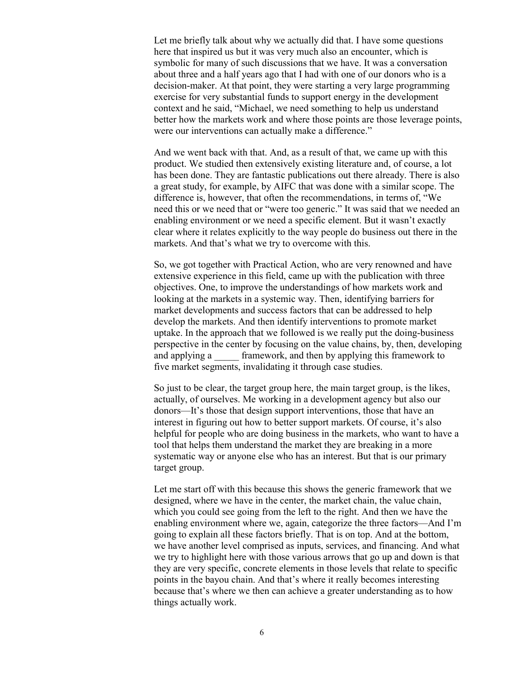Let me briefly talk about why we actually did that. I have some questions here that inspired us but it was very much also an encounter, which is symbolic for many of such discussions that we have. It was a conversation about three and a half years ago that I had with one of our donors who is a decision-maker. At that point, they were starting a very large programming exercise for very substantial funds to support energy in the development context and he said, "Michael, we need something to help us understand better how the markets work and where those points are those leverage points, were our interventions can actually make a difference."

And we went back with that. And, as a result of that, we came up with this product. We studied then extensively existing literature and, of course, a lot has been done. They are fantastic publications out there already. There is also a great study, for example, by AIFC that was done with a similar scope. The difference is, however, that often the recommendations, in terms of, "We need this or we need that or "were too generic." It was said that we needed an enabling environment or we need a specific element. But it wasn't exactly clear where it relates explicitly to the way people do business out there in the markets. And that's what we try to overcome with this.

So, we got together with Practical Action, who are very renowned and have extensive experience in this field, came up with the publication with three objectives. One, to improve the understandings of how markets work and looking at the markets in a systemic way. Then, identifying barriers for market developments and success factors that can be addressed to help develop the markets. And then identify interventions to promote market uptake. In the approach that we followed is we really put the doing-business perspective in the center by focusing on the value chains, by, then, developing and applying a strain framework, and then by applying this framework to five market segments, invalidating it through case studies.

So just to be clear, the target group here, the main target group, is the likes, actually, of ourselves. Me working in a development agency but also our donors—It's those that design support interventions, those that have an interest in figuring out how to better support markets. Of course, it's also helpful for people who are doing business in the markets, who want to have a tool that helps them understand the market they are breaking in a more systematic way or anyone else who has an interest. But that is our primary target group.

Let me start off with this because this shows the generic framework that we designed, where we have in the center, the market chain, the value chain, which you could see going from the left to the right. And then we have the enabling environment where we, again, categorize the three factors—And I'm going to explain all these factors briefly. That is on top. And at the bottom, we have another level comprised as inputs, services, and financing. And what we try to highlight here with those various arrows that go up and down is that they are very specific, concrete elements in those levels that relate to specific points in the bayou chain. And that's where it really becomes interesting because that's where we then can achieve a greater understanding as to how things actually work.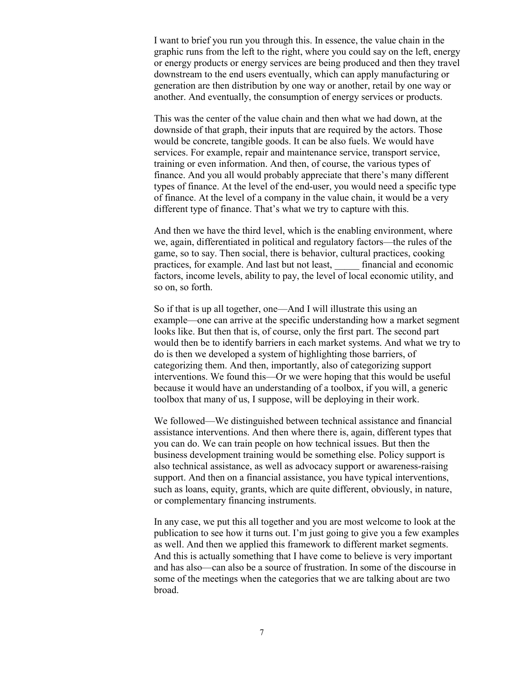I want to brief you run you through this. In essence, the value chain in the graphic runs from the left to the right, where you could say on the left, energy or energy products or energy services are being produced and then they travel downstream to the end users eventually, which can apply manufacturing or generation are then distribution by one way or another, retail by one way or another. And eventually, the consumption of energy services or products.

This was the center of the value chain and then what we had down, at the downside of that graph, their inputs that are required by the actors. Those would be concrete, tangible goods. It can be also fuels. We would have services. For example, repair and maintenance service, transport service, training or even information. And then, of course, the various types of finance. And you all would probably appreciate that there's many different types of finance. At the level of the end-user, you would need a specific type of finance. At the level of a company in the value chain, it would be a very different type of finance. That's what we try to capture with this.

And then we have the third level, which is the enabling environment, where we, again, differentiated in political and regulatory factors—the rules of the game, so to say. Then social, there is behavior, cultural practices, cooking practices, for example. And last but not least, \_\_\_\_\_ financial and economic factors, income levels, ability to pay, the level of local economic utility, and so on, so forth.

So if that is up all together, one—And I will illustrate this using an example—one can arrive at the specific understanding how a market segment looks like. But then that is, of course, only the first part. The second part would then be to identify barriers in each market systems. And what we try to do is then we developed a system of highlighting those barriers, of categorizing them. And then, importantly, also of categorizing support interventions. We found this—Or we were hoping that this would be useful because it would have an understanding of a toolbox, if you will, a generic toolbox that many of us, I suppose, will be deploying in their work.

We followed—We distinguished between technical assistance and financial assistance interventions. And then where there is, again, different types that you can do. We can train people on how technical issues. But then the business development training would be something else. Policy support is also technical assistance, as well as advocacy support or awareness-raising support. And then on a financial assistance, you have typical interventions, such as loans, equity, grants, which are quite different, obviously, in nature, or complementary financing instruments.

In any case, we put this all together and you are most welcome to look at the publication to see how it turns out. I'm just going to give you a few examples as well. And then we applied this framework to different market segments. And this is actually something that I have come to believe is very important and has also—can also be a source of frustration. In some of the discourse in some of the meetings when the categories that we are talking about are two broad.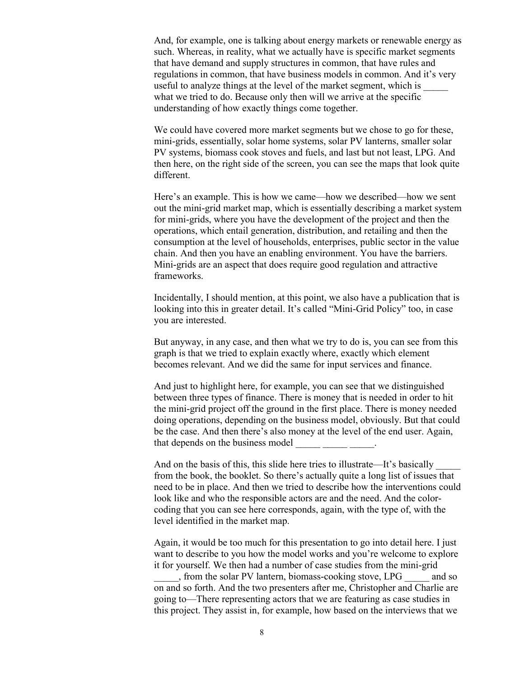And, for example, one is talking about energy markets or renewable energy as such. Whereas, in reality, what we actually have is specific market segments that have demand and supply structures in common, that have rules and regulations in common, that have business models in common. And it's very useful to analyze things at the level of the market segment, which is what we tried to do. Because only then will we arrive at the specific understanding of how exactly things come together.

We could have covered more market segments but we chose to go for these, mini-grids, essentially, solar home systems, solar PV lanterns, smaller solar PV systems, biomass cook stoves and fuels, and last but not least, LPG. And then here, on the right side of the screen, you can see the maps that look quite different.

Here's an example. This is how we came—how we described—how we sent out the mini-grid market map, which is essentially describing a market system for mini-grids, where you have the development of the project and then the operations, which entail generation, distribution, and retailing and then the consumption at the level of households, enterprises, public sector in the value chain. And then you have an enabling environment. You have the barriers. Mini-grids are an aspect that does require good regulation and attractive frameworks.

Incidentally, I should mention, at this point, we also have a publication that is looking into this in greater detail. It's called "Mini-Grid Policy" too, in case you are interested.

But anyway, in any case, and then what we try to do is, you can see from this graph is that we tried to explain exactly where, exactly which element becomes relevant. And we did the same for input services and finance.

And just to highlight here, for example, you can see that we distinguished between three types of finance. There is money that is needed in order to hit the mini-grid project off the ground in the first place. There is money needed doing operations, depending on the business model, obviously. But that could be the case. And then there's also money at the level of the end user. Again, that depends on the business model

And on the basis of this, this slide here tries to illustrate—It's basically from the book, the booklet. So there's actually quite a long list of issues that need to be in place. And then we tried to describe how the interventions could look like and who the responsible actors are and the need. And the colorcoding that you can see here corresponds, again, with the type of, with the level identified in the market map.

Again, it would be too much for this presentation to go into detail here. I just want to describe to you how the model works and you're welcome to explore it for yourself. We then had a number of case studies from the mini-grid

\_\_\_\_, from the solar PV lantern, biomass-cooking stove, LPG and so on and so forth. And the two presenters after me, Christopher and Charlie are going to—There representing actors that we are featuring as case studies in this project. They assist in, for example, how based on the interviews that we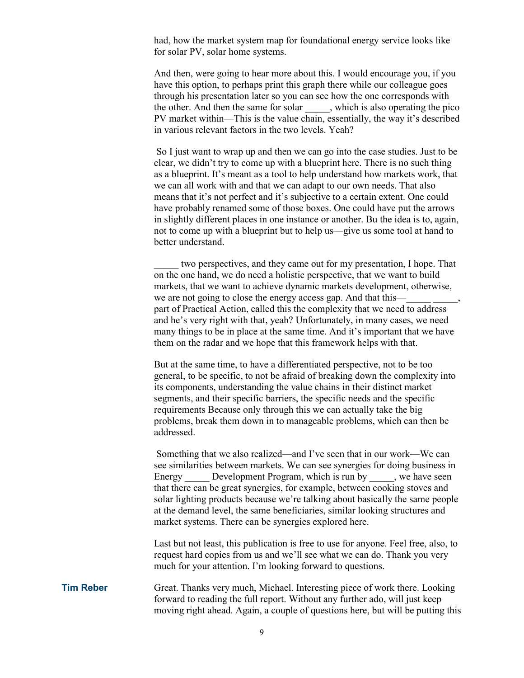had, how the market system map for foundational energy service looks like for solar PV, solar home systems.

And then, were going to hear more about this. I would encourage you, if you have this option, to perhaps print this graph there while our colleague goes through his presentation later so you can see how the one corresponds with the other. And then the same for solar \_\_\_\_\_, which is also operating the pico PV market within—This is the value chain, essentially, the way it's described in various relevant factors in the two levels. Yeah?

So I just want to wrap up and then we can go into the case studies. Just to be clear, we didn't try to come up with a blueprint here. There is no such thing as a blueprint. It's meant as a tool to help understand how markets work, that we can all work with and that we can adapt to our own needs. That also means that it's not perfect and it's subjective to a certain extent. One could have probably renamed some of those boxes. One could have put the arrows in slightly different places in one instance or another. Bu the idea is to, again, not to come up with a blueprint but to help us—give us some tool at hand to better understand.

\_\_\_\_\_ two perspectives, and they came out for my presentation, I hope. That on the one hand, we do need a holistic perspective, that we want to build markets, that we want to achieve dynamic markets development, otherwise, we are not going to close the energy access gap. And that this part of Practical Action, called this the complexity that we need to address and he's very right with that, yeah? Unfortunately, in many cases, we need many things to be in place at the same time. And it's important that we have them on the radar and we hope that this framework helps with that.

But at the same time, to have a differentiated perspective, not to be too general, to be specific, to not be afraid of breaking down the complexity into its components, understanding the value chains in their distinct market segments, and their specific barriers, the specific needs and the specific requirements Because only through this we can actually take the big problems, break them down in to manageable problems, which can then be addressed.

Something that we also realized—and I've seen that in our work—We can see similarities between markets. We can see synergies for doing business in Energy Development Program, which is run by we have seen that there can be great synergies, for example, between cooking stoves and solar lighting products because we're talking about basically the same people at the demand level, the same beneficiaries, similar looking structures and market systems. There can be synergies explored here.

Last but not least, this publication is free to use for anyone. Feel free, also, to request hard copies from us and we'll see what we can do. Thank you very much for your attention. I'm looking forward to questions.

**Tim Reber** Great. Thanks very much, Michael. Interesting piece of work there. Looking forward to reading the full report. Without any further ado, will just keep moving right ahead. Again, a couple of questions here, but will be putting this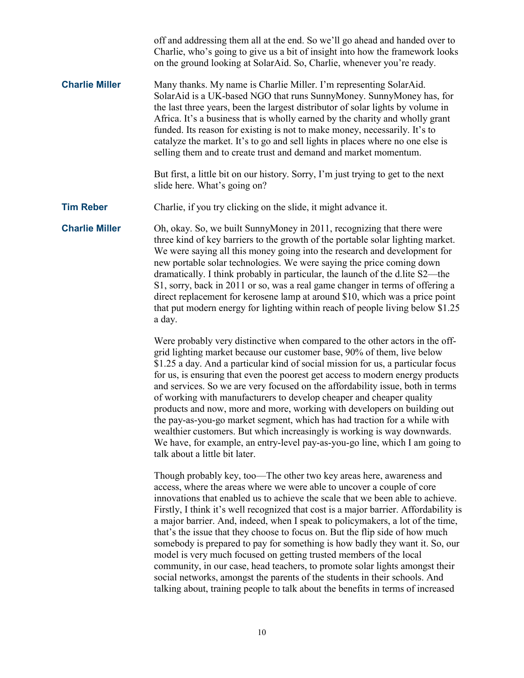|                       | off and addressing them all at the end. So we'll go ahead and handed over to<br>Charlie, who's going to give us a bit of insight into how the framework looks<br>on the ground looking at SolarAid. So, Charlie, whenever you're ready.                                                                                                                                                                                                                                                                                                                                                                                                                                                                                                                                                                                                        |
|-----------------------|------------------------------------------------------------------------------------------------------------------------------------------------------------------------------------------------------------------------------------------------------------------------------------------------------------------------------------------------------------------------------------------------------------------------------------------------------------------------------------------------------------------------------------------------------------------------------------------------------------------------------------------------------------------------------------------------------------------------------------------------------------------------------------------------------------------------------------------------|
| <b>Charlie Miller</b> | Many thanks. My name is Charlie Miller. I'm representing SolarAid.<br>SolarAid is a UK-based NGO that runs SunnyMoney. SunnyMoney has, for<br>the last three years, been the largest distributor of solar lights by volume in<br>Africa. It's a business that is wholly earned by the charity and wholly grant<br>funded. Its reason for existing is not to make money, necessarily. It's to<br>catalyze the market. It's to go and sell lights in places where no one else is<br>selling them and to create trust and demand and market momentum.                                                                                                                                                                                                                                                                                             |
|                       | But first, a little bit on our history. Sorry, I'm just trying to get to the next<br>slide here. What's going on?                                                                                                                                                                                                                                                                                                                                                                                                                                                                                                                                                                                                                                                                                                                              |
| <b>Tim Reber</b>      | Charlie, if you try clicking on the slide, it might advance it.                                                                                                                                                                                                                                                                                                                                                                                                                                                                                                                                                                                                                                                                                                                                                                                |
| <b>Charlie Miller</b> | Oh, okay. So, we built SunnyMoney in 2011, recognizing that there were<br>three kind of key barriers to the growth of the portable solar lighting market.<br>We were saying all this money going into the research and development for<br>new portable solar technologies. We were saying the price coming down<br>dramatically. I think probably in particular, the launch of the d.lite S2—the<br>S1, sorry, back in 2011 or so, was a real game changer in terms of offering a<br>direct replacement for kerosene lamp at around \$10, which was a price point<br>that put modern energy for lighting within reach of people living below \$1.25<br>a day.                                                                                                                                                                                  |
|                       | Were probably very distinctive when compared to the other actors in the off-<br>grid lighting market because our customer base, 90% of them, live below<br>\$1.25 a day. And a particular kind of social mission for us, a particular focus<br>for us, is ensuring that even the poorest get access to modern energy products<br>and services. So we are very focused on the affordability issue, both in terms<br>of working with manufacturers to develop cheaper and cheaper quality<br>products and now, more and more, working with developers on building out<br>the pay-as-you-go market segment, which has had traction for a while with<br>wealthier customers. But which increasingly is working is way downwards.<br>We have, for example, an entry-level pay-as-you-go line, which I am going to<br>talk about a little bit later. |
|                       | Though probably key, too—The other two key areas here, awareness and<br>access, where the areas where we were able to uncover a couple of core<br>innovations that enabled us to achieve the scale that we been able to achieve.<br>Firstly, I think it's well recognized that cost is a major barrier. Affordability is<br>a major barrier. And, indeed, when I speak to policymakers, a lot of the time,<br>that's the issue that they choose to focus on. But the flip side of how much<br>somebody is prepared to pay for something is how badly they want it. So, our<br>model is very much focused on getting trusted members of the local<br>community, in our case, head teachers, to promote solar lights amongst their<br>social networks, amongst the parents of the students in their schools. And                                 |

10

talking about, training people to talk about the benefits in terms of increased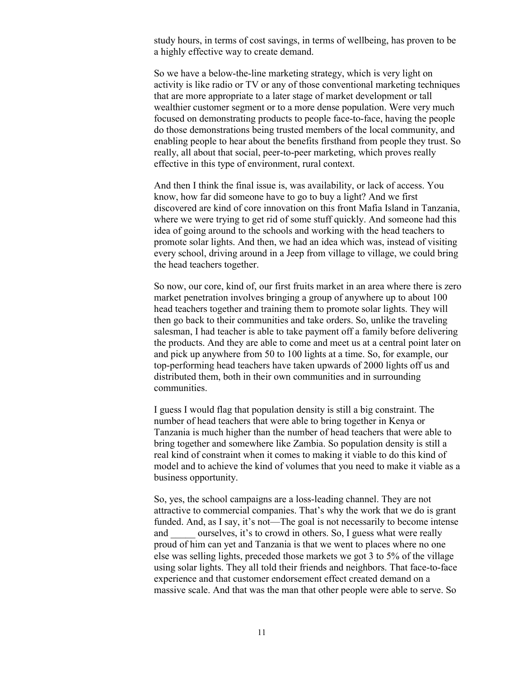study hours, in terms of cost savings, in terms of wellbeing, has proven to be a highly effective way to create demand.

So we have a below-the-line marketing strategy, which is very light on activity is like radio or TV or any of those conventional marketing techniques that are more appropriate to a later stage of market development or tall wealthier customer segment or to a more dense population. Were very much focused on demonstrating products to people face-to-face, having the people do those demonstrations being trusted members of the local community, and enabling people to hear about the benefits firsthand from people they trust. So really, all about that social, peer-to-peer marketing, which proves really effective in this type of environment, rural context.

And then I think the final issue is, was availability, or lack of access. You know, how far did someone have to go to buy a light? And we first discovered are kind of core innovation on this front Mafia Island in Tanzania, where we were trying to get rid of some stuff quickly. And someone had this idea of going around to the schools and working with the head teachers to promote solar lights. And then, we had an idea which was, instead of visiting every school, driving around in a Jeep from village to village, we could bring the head teachers together.

So now, our core, kind of, our first fruits market in an area where there is zero market penetration involves bringing a group of anywhere up to about 100 head teachers together and training them to promote solar lights. They will then go back to their communities and take orders. So, unlike the traveling salesman, I had teacher is able to take payment off a family before delivering the products. And they are able to come and meet us at a central point later on and pick up anywhere from 50 to 100 lights at a time. So, for example, our top-performing head teachers have taken upwards of 2000 lights off us and distributed them, both in their own communities and in surrounding communities.

I guess I would flag that population density is still a big constraint. The number of head teachers that were able to bring together in Kenya or Tanzania is much higher than the number of head teachers that were able to bring together and somewhere like Zambia. So population density is still a real kind of constraint when it comes to making it viable to do this kind of model and to achieve the kind of volumes that you need to make it viable as a business opportunity.

So, yes, the school campaigns are a loss-leading channel. They are not attractive to commercial companies. That's why the work that we do is grant funded. And, as I say, it's not—The goal is not necessarily to become intense and ourselves, it's to crowd in others. So, I guess what were really proud of him can yet and Tanzania is that we went to places where no one else was selling lights, preceded those markets we got 3 to 5% of the village using solar lights. They all told their friends and neighbors. That face-to-face experience and that customer endorsement effect created demand on a massive scale. And that was the man that other people were able to serve. So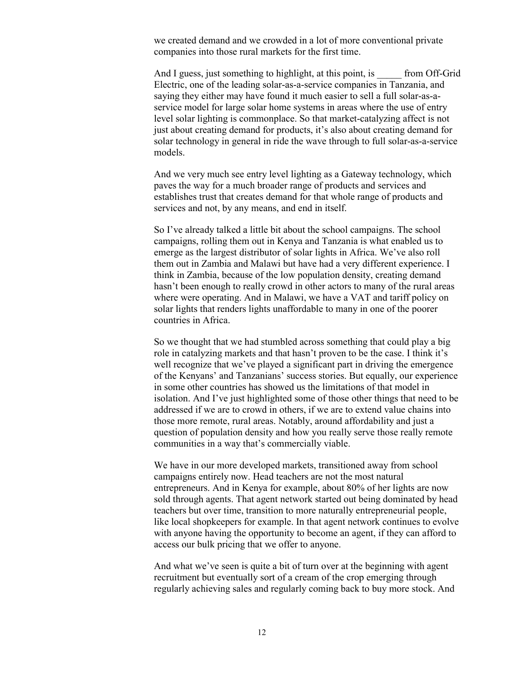we created demand and we crowded in a lot of more conventional private companies into those rural markets for the first time.

And I guess, just something to highlight, at this point, is from Off-Grid Electric, one of the leading solar-as-a-service companies in Tanzania, and saying they either may have found it much easier to sell a full solar-as-aservice model for large solar home systems in areas where the use of entry level solar lighting is commonplace. So that market-catalyzing affect is not just about creating demand for products, it's also about creating demand for solar technology in general in ride the wave through to full solar-as-a-service models.

And we very much see entry level lighting as a Gateway technology, which paves the way for a much broader range of products and services and establishes trust that creates demand for that whole range of products and services and not, by any means, and end in itself.

So I've already talked a little bit about the school campaigns. The school campaigns, rolling them out in Kenya and Tanzania is what enabled us to emerge as the largest distributor of solar lights in Africa. We've also roll them out in Zambia and Malawi but have had a very different experience. I think in Zambia, because of the low population density, creating demand hasn't been enough to really crowd in other actors to many of the rural areas where were operating. And in Malawi, we have a VAT and tariff policy on solar lights that renders lights unaffordable to many in one of the poorer countries in Africa.

So we thought that we had stumbled across something that could play a big role in catalyzing markets and that hasn't proven to be the case. I think it's well recognize that we've played a significant part in driving the emergence of the Kenyans' and Tanzanians' success stories. But equally, our experience in some other countries has showed us the limitations of that model in isolation. And I've just highlighted some of those other things that need to be addressed if we are to crowd in others, if we are to extend value chains into those more remote, rural areas. Notably, around affordability and just a question of population density and how you really serve those really remote communities in a way that's commercially viable.

We have in our more developed markets, transitioned away from school campaigns entirely now. Head teachers are not the most natural entrepreneurs. And in Kenya for example, about 80% of her lights are now sold through agents. That agent network started out being dominated by head teachers but over time, transition to more naturally entrepreneurial people, like local shopkeepers for example. In that agent network continues to evolve with anyone having the opportunity to become an agent, if they can afford to access our bulk pricing that we offer to anyone.

And what we've seen is quite a bit of turn over at the beginning with agent recruitment but eventually sort of a cream of the crop emerging through regularly achieving sales and regularly coming back to buy more stock. And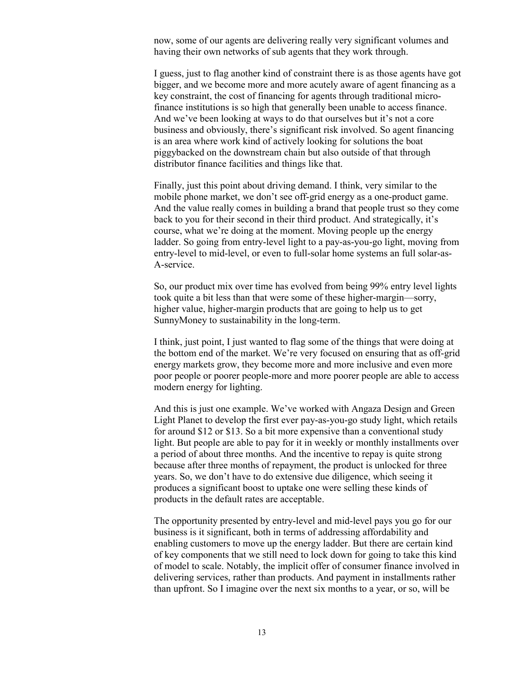now, some of our agents are delivering really very significant volumes and having their own networks of sub agents that they work through.

I guess, just to flag another kind of constraint there is as those agents have got bigger, and we become more and more acutely aware of agent financing as a key constraint, the cost of financing for agents through traditional microfinance institutions is so high that generally been unable to access finance. And we've been looking at ways to do that ourselves but it's not a core business and obviously, there's significant risk involved. So agent financing is an area where work kind of actively looking for solutions the boat piggybacked on the downstream chain but also outside of that through distributor finance facilities and things like that.

Finally, just this point about driving demand. I think, very similar to the mobile phone market, we don't see off-grid energy as a one-product game. And the value really comes in building a brand that people trust so they come back to you for their second in their third product. And strategically, it's course, what we're doing at the moment. Moving people up the energy ladder. So going from entry-level light to a pay-as-you-go light, moving from entry-level to mid-level, or even to full-solar home systems an full solar-as-A-service.

So, our product mix over time has evolved from being 99% entry level lights took quite a bit less than that were some of these higher-margin—sorry, higher value, higher-margin products that are going to help us to get SunnyMoney to sustainability in the long-term.

I think, just point, I just wanted to flag some of the things that were doing at the bottom end of the market. We're very focused on ensuring that as off-grid energy markets grow, they become more and more inclusive and even more poor people or poorer people-more and more poorer people are able to access modern energy for lighting.

And this is just one example. We've worked with Angaza Design and Green Light Planet to develop the first ever pay-as-you-go study light, which retails for around \$12 or \$13. So a bit more expensive than a conventional study light. But people are able to pay for it in weekly or monthly installments over a period of about three months. And the incentive to repay is quite strong because after three months of repayment, the product is unlocked for three years. So, we don't have to do extensive due diligence, which seeing it produces a significant boost to uptake one were selling these kinds of products in the default rates are acceptable.

The opportunity presented by entry-level and mid-level pays you go for our business is it significant, both in terms of addressing affordability and enabling customers to move up the energy ladder. But there are certain kind of key components that we still need to lock down for going to take this kind of model to scale. Notably, the implicit offer of consumer finance involved in delivering services, rather than products. And payment in installments rather than upfront. So I imagine over the next six months to a year, or so, will be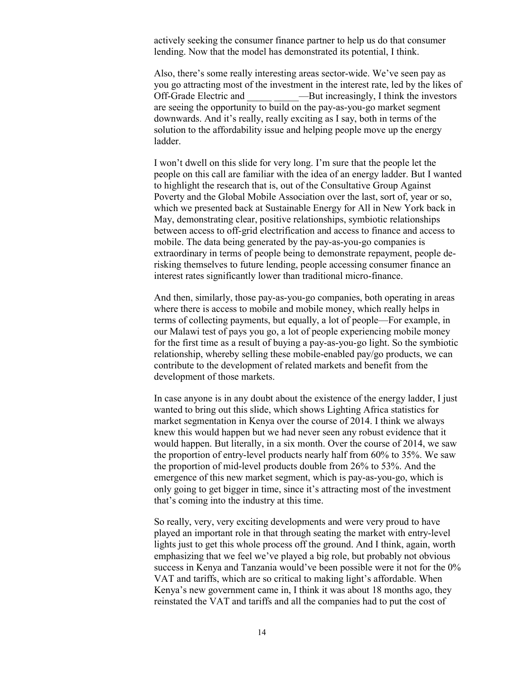actively seeking the consumer finance partner to help us do that consumer lending. Now that the model has demonstrated its potential, I think.

Also, there's some really interesting areas sector-wide. We've seen pay as you go attracting most of the investment in the interest rate, led by the likes of Off-Grade Electric and ——But increasingly, I think the investors are seeing the opportunity to build on the pay-as-you-go market segment downwards. And it's really, really exciting as I say, both in terms of the solution to the affordability issue and helping people move up the energy ladder.

I won't dwell on this slide for very long. I'm sure that the people let the people on this call are familiar with the idea of an energy ladder. But I wanted to highlight the research that is, out of the Consultative Group Against Poverty and the Global Mobile Association over the last, sort of, year or so, which we presented back at Sustainable Energy for All in New York back in May, demonstrating clear, positive relationships, symbiotic relationships between access to off-grid electrification and access to finance and access to mobile. The data being generated by the pay-as-you-go companies is extraordinary in terms of people being to demonstrate repayment, people derisking themselves to future lending, people accessing consumer finance an interest rates significantly lower than traditional micro-finance.

And then, similarly, those pay-as-you-go companies, both operating in areas where there is access to mobile and mobile money, which really helps in terms of collecting payments, but equally, a lot of people—For example, in our Malawi test of pays you go, a lot of people experiencing mobile money for the first time as a result of buying a pay-as-you-go light. So the symbiotic relationship, whereby selling these mobile-enabled pay/go products, we can contribute to the development of related markets and benefit from the development of those markets.

In case anyone is in any doubt about the existence of the energy ladder, I just wanted to bring out this slide, which shows Lighting Africa statistics for market segmentation in Kenya over the course of 2014. I think we always knew this would happen but we had never seen any robust evidence that it would happen. But literally, in a six month. Over the course of 2014, we saw the proportion of entry-level products nearly half from 60% to 35%. We saw the proportion of mid-level products double from 26% to 53%. And the emergence of this new market segment, which is pay-as-you-go, which is only going to get bigger in time, since it's attracting most of the investment that's coming into the industry at this time.

So really, very, very exciting developments and were very proud to have played an important role in that through seating the market with entry-level lights just to get this whole process off the ground. And I think, again, worth emphasizing that we feel we've played a big role, but probably not obvious success in Kenya and Tanzania would've been possible were it not for the 0% VAT and tariffs, which are so critical to making light's affordable. When Kenya's new government came in, I think it was about 18 months ago, they reinstated the VAT and tariffs and all the companies had to put the cost of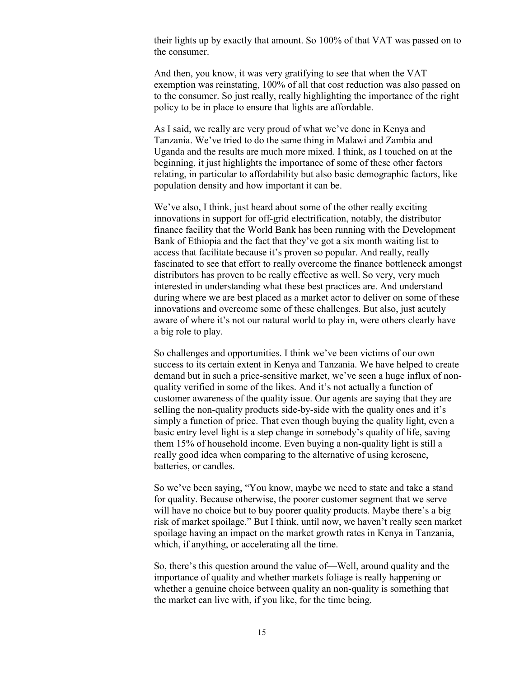their lights up by exactly that amount. So 100% of that VAT was passed on to the consumer.

And then, you know, it was very gratifying to see that when the VAT exemption was reinstating, 100% of all that cost reduction was also passed on to the consumer. So just really, really highlighting the importance of the right policy to be in place to ensure that lights are affordable.

As I said, we really are very proud of what we've done in Kenya and Tanzania. We've tried to do the same thing in Malawi and Zambia and Uganda and the results are much more mixed. I think, as I touched on at the beginning, it just highlights the importance of some of these other factors relating, in particular to affordability but also basic demographic factors, like population density and how important it can be.

We've also, I think, just heard about some of the other really exciting innovations in support for off-grid electrification, notably, the distributor finance facility that the World Bank has been running with the Development Bank of Ethiopia and the fact that they've got a six month waiting list to access that facilitate because it's proven so popular. And really, really fascinated to see that effort to really overcome the finance bottleneck amongst distributors has proven to be really effective as well. So very, very much interested in understanding what these best practices are. And understand during where we are best placed as a market actor to deliver on some of these innovations and overcome some of these challenges. But also, just acutely aware of where it's not our natural world to play in, were others clearly have a big role to play.

So challenges and opportunities. I think we've been victims of our own success to its certain extent in Kenya and Tanzania. We have helped to create demand but in such a price-sensitive market, we've seen a huge influx of nonquality verified in some of the likes. And it's not actually a function of customer awareness of the quality issue. Our agents are saying that they are selling the non-quality products side-by-side with the quality ones and it's simply a function of price. That even though buying the quality light, even a basic entry level light is a step change in somebody's quality of life, saving them 15% of household income. Even buying a non-quality light is still a really good idea when comparing to the alternative of using kerosene, batteries, or candles.

So we've been saying, "You know, maybe we need to state and take a stand for quality. Because otherwise, the poorer customer segment that we serve will have no choice but to buy poorer quality products. Maybe there's a big risk of market spoilage." But I think, until now, we haven't really seen market spoilage having an impact on the market growth rates in Kenya in Tanzania, which, if anything, or accelerating all the time.

So, there's this question around the value of—Well, around quality and the importance of quality and whether markets foliage is really happening or whether a genuine choice between quality an non-quality is something that the market can live with, if you like, for the time being.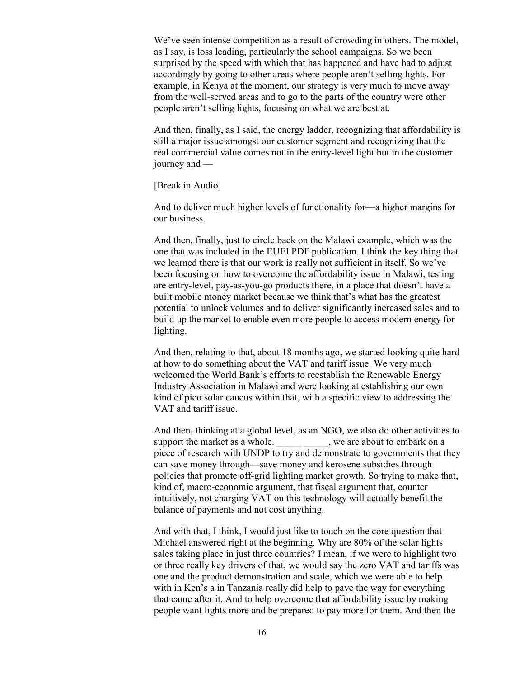We've seen intense competition as a result of crowding in others. The model, as I say, is loss leading, particularly the school campaigns. So we been surprised by the speed with which that has happened and have had to adjust accordingly by going to other areas where people aren't selling lights. For example, in Kenya at the moment, our strategy is very much to move away from the well-served areas and to go to the parts of the country were other people aren't selling lights, focusing on what we are best at.

And then, finally, as I said, the energy ladder, recognizing that affordability is still a major issue amongst our customer segment and recognizing that the real commercial value comes not in the entry-level light but in the customer journey and —

## [Break in Audio]

And to deliver much higher levels of functionality for—a higher margins for our business.

And then, finally, just to circle back on the Malawi example, which was the one that was included in the EUEI PDF publication. I think the key thing that we learned there is that our work is really not sufficient in itself. So we've been focusing on how to overcome the affordability issue in Malawi, testing are entry-level, pay-as-you-go products there, in a place that doesn't have a built mobile money market because we think that's what has the greatest potential to unlock volumes and to deliver significantly increased sales and to build up the market to enable even more people to access modern energy for lighting.

And then, relating to that, about 18 months ago, we started looking quite hard at how to do something about the VAT and tariff issue. We very much welcomed the World Bank's efforts to reestablish the Renewable Energy Industry Association in Malawi and were looking at establishing our own kind of pico solar caucus within that, with a specific view to addressing the VAT and tariff issue.

And then, thinking at a global level, as an NGO, we also do other activities to support the market as a whole. \_\_\_\_\_\_\_\_\_\_, we are about to embark on a piece of research with UNDP to try and demonstrate to governments that they can save money through—save money and kerosene subsidies through policies that promote off-grid lighting market growth. So trying to make that, kind of, macro-economic argument, that fiscal argument that, counter intuitively, not charging VAT on this technology will actually benefit the balance of payments and not cost anything.

And with that, I think, I would just like to touch on the core question that Michael answered right at the beginning. Why are 80% of the solar lights sales taking place in just three countries? I mean, if we were to highlight two or three really key drivers of that, we would say the zero VAT and tariffs was one and the product demonstration and scale, which we were able to help with in Ken's a in Tanzania really did help to pave the way for everything that came after it. And to help overcome that affordability issue by making people want lights more and be prepared to pay more for them. And then the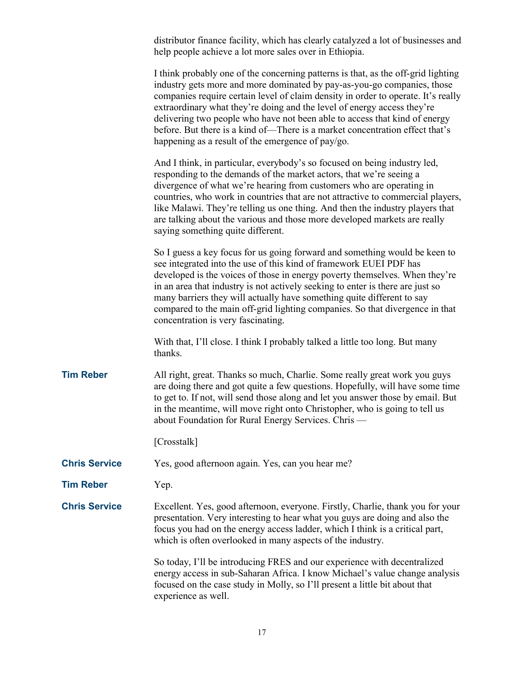|                      | distributor finance facility, which has clearly catalyzed a lot of businesses and<br>help people achieve a lot more sales over in Ethiopia.                                                                                                                                                                                                                                                                                                                                                                                                     |
|----------------------|-------------------------------------------------------------------------------------------------------------------------------------------------------------------------------------------------------------------------------------------------------------------------------------------------------------------------------------------------------------------------------------------------------------------------------------------------------------------------------------------------------------------------------------------------|
|                      | I think probably one of the concerning patterns is that, as the off-grid lighting<br>industry gets more and more dominated by pay-as-you-go companies, those<br>companies require certain level of claim density in order to operate. It's really<br>extraordinary what they're doing and the level of energy access they're<br>delivering two people who have not been able to access that kind of energy<br>before. But there is a kind of—There is a market concentration effect that's<br>happening as a result of the emergence of pay/go. |
|                      | And I think, in particular, everybody's so focused on being industry led,<br>responding to the demands of the market actors, that we're seeing a<br>divergence of what we're hearing from customers who are operating in<br>countries, who work in countries that are not attractive to commercial players,<br>like Malawi. They're telling us one thing. And then the industry players that<br>are talking about the various and those more developed markets are really<br>saying something quite different.                                  |
|                      | So I guess a key focus for us going forward and something would be keen to<br>see integrated into the use of this kind of framework EUEI PDF has<br>developed is the voices of those in energy poverty themselves. When they're<br>in an area that industry is not actively seeking to enter is there are just so<br>many barriers they will actually have something quite different to say<br>compared to the main off-grid lighting companies. So that divergence in that<br>concentration is very fascinating.                               |
|                      | With that, I'll close. I think I probably talked a little too long. But many<br>thanks.                                                                                                                                                                                                                                                                                                                                                                                                                                                         |
| <b>Tim Reber</b>     | All right, great. Thanks so much, Charlie. Some really great work you guys<br>are doing there and got quite a few questions. Hopefully, will have some time<br>to get to. If not, will send those along and let you answer those by email. But<br>in the meantime, will move right onto Christopher, who is going to tell us<br>about Foundation for Rural Energy Services. Chris-                                                                                                                                                              |
|                      | [Crosstalk]                                                                                                                                                                                                                                                                                                                                                                                                                                                                                                                                     |
| <b>Chris Service</b> | Yes, good afternoon again. Yes, can you hear me?                                                                                                                                                                                                                                                                                                                                                                                                                                                                                                |
| <b>Tim Reber</b>     | Yep.                                                                                                                                                                                                                                                                                                                                                                                                                                                                                                                                            |
| <b>Chris Service</b> | Excellent. Yes, good afternoon, everyone. Firstly, Charlie, thank you for your<br>presentation. Very interesting to hear what you guys are doing and also the<br>focus you had on the energy access ladder, which I think is a critical part,<br>which is often overlooked in many aspects of the industry.                                                                                                                                                                                                                                     |
|                      | So today, I'll be introducing FRES and our experience with decentralized<br>energy access in sub-Saharan Africa. I know Michael's value change analysis<br>focused on the case study in Molly, so I'll present a little bit about that<br>experience as well.                                                                                                                                                                                                                                                                                   |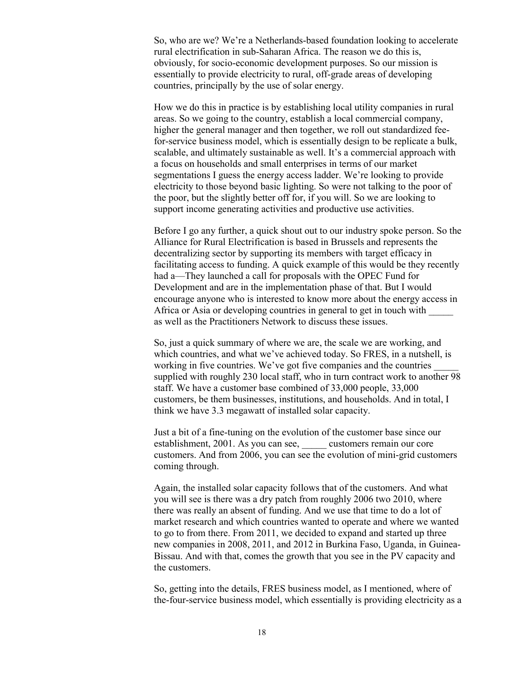So, who are we? We're a Netherlands-based foundation looking to accelerate rural electrification in sub-Saharan Africa. The reason we do this is, obviously, for socio-economic development purposes. So our mission is essentially to provide electricity to rural, off-grade areas of developing countries, principally by the use of solar energy.

How we do this in practice is by establishing local utility companies in rural areas. So we going to the country, establish a local commercial company, higher the general manager and then together, we roll out standardized feefor-service business model, which is essentially design to be replicate a bulk, scalable, and ultimately sustainable as well. It's a commercial approach with a focus on households and small enterprises in terms of our market segmentations I guess the energy access ladder. We're looking to provide electricity to those beyond basic lighting. So were not talking to the poor of the poor, but the slightly better off for, if you will. So we are looking to support income generating activities and productive use activities.

Before I go any further, a quick shout out to our industry spoke person. So the Alliance for Rural Electrification is based in Brussels and represents the decentralizing sector by supporting its members with target efficacy in facilitating access to funding. A quick example of this would be they recently had a—They launched a call for proposals with the OPEC Fund for Development and are in the implementation phase of that. But I would encourage anyone who is interested to know more about the energy access in Africa or Asia or developing countries in general to get in touch with \_\_\_\_\_ as well as the Practitioners Network to discuss these issues.

So, just a quick summary of where we are, the scale we are working, and which countries, and what we've achieved today. So FRES, in a nutshell, is working in five countries. We've got five companies and the countries supplied with roughly 230 local staff, who in turn contract work to another 98 staff. We have a customer base combined of 33,000 people, 33,000 customers, be them businesses, institutions, and households. And in total, I think we have 3.3 megawatt of installed solar capacity.

Just a bit of a fine-tuning on the evolution of the customer base since our establishment, 2001. As you can see, customers remain our core customers. And from 2006, you can see the evolution of mini-grid customers coming through.

Again, the installed solar capacity follows that of the customers. And what you will see is there was a dry patch from roughly 2006 two 2010, where there was really an absent of funding. And we use that time to do a lot of market research and which countries wanted to operate and where we wanted to go to from there. From 2011, we decided to expand and started up three new companies in 2008, 2011, and 2012 in Burkina Faso, Uganda, in Guinea-Bissau. And with that, comes the growth that you see in the PV capacity and the customers.

So, getting into the details, FRES business model, as I mentioned, where of the-four-service business model, which essentially is providing electricity as a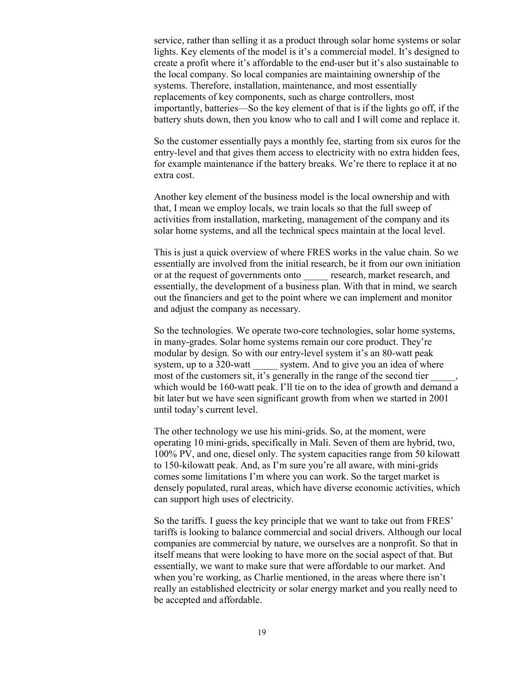service, rather than selling it as a product through solar home systems or solar lights. Key elements of the model is it's a commercial model. It's designed to create a profit where it's affordable to the end-user but it's also sustainable to the local company. So local companies are maintaining ownership of the systems. Therefore, installation, maintenance, and most essentially replacements of key components, such as charge controllers, most importantly, batteries—So the key element of that is if the lights go off, if the battery shuts down, then you know who to call and I will come and replace it.

So the customer essentially pays a monthly fee, starting from six euros for the entry-level and that gives them access to electricity with no extra hidden fees, for example maintenance if the battery breaks. We're there to replace it at no extra cost.

Another key element of the business model is the local ownership and with that, I mean we employ locals, we train locals so that the full sweep of activities from installation, marketing, management of the company and its solar home systems, and all the technical specs maintain at the local level.

This is just a quick overview of where FRES works in the value chain. So we essentially are involved from the initial research, be it from our own initiation or at the request of governments onto \_\_\_\_\_ research, market research, and essentially, the development of a business plan. With that in mind, we search out the financiers and get to the point where we can implement and monitor and adjust the company as necessary.

So the technologies. We operate two-core technologies, solar home systems, in many-grades. Solar home systems remain our core product. They're modular by design. So with our entry-level system it's an 80-watt peak system, up to a 320-watt system. And to give you an idea of where most of the customers sit, it's generally in the range of the second tier which would be 160-watt peak. I'll tie on to the idea of growth and demand a bit later but we have seen significant growth from when we started in 2001 until today's current level.

The other technology we use his mini-grids. So, at the moment, were operating 10 mini-grids, specifically in Mali. Seven of them are hybrid, two, 100% PV, and one, diesel only. The system capacities range from 50 kilowatt to 150-kilowatt peak. And, as I'm sure you're all aware, with mini-grids comes some limitations I'm where you can work. So the target market is densely populated, rural areas, which have diverse economic activities, which can support high uses of electricity.

So the tariffs. I guess the key principle that we want to take out from FRES' tariffs is looking to balance commercial and social drivers. Although our local companies are commercial by nature, we ourselves are a nonprofit. So that in itself means that were looking to have more on the social aspect of that. But essentially, we want to make sure that were affordable to our market. And when you're working, as Charlie mentioned, in the areas where there isn't really an established electricity or solar energy market and you really need to be accepted and affordable.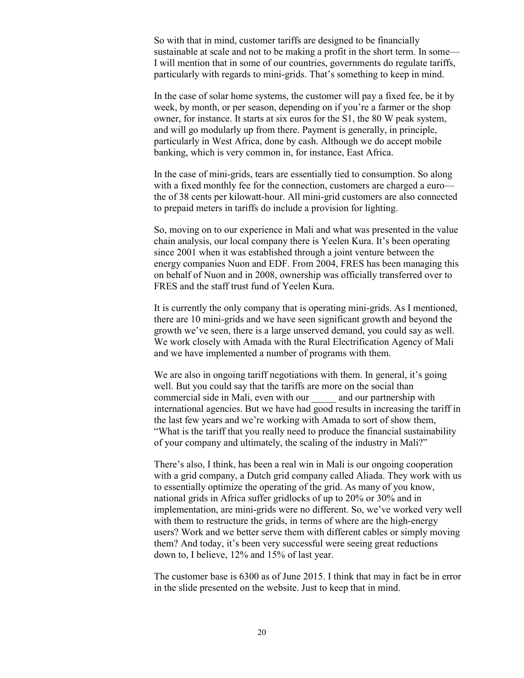So with that in mind, customer tariffs are designed to be financially sustainable at scale and not to be making a profit in the short term. In some— I will mention that in some of our countries, governments do regulate tariffs, particularly with regards to mini-grids. That's something to keep in mind.

In the case of solar home systems, the customer will pay a fixed fee, be it by week, by month, or per season, depending on if you're a farmer or the shop owner, for instance. It starts at six euros for the S1, the 80 W peak system, and will go modularly up from there. Payment is generally, in principle, particularly in West Africa, done by cash. Although we do accept mobile banking, which is very common in, for instance, East Africa.

In the case of mini-grids, tears are essentially tied to consumption. So along with a fixed monthly fee for the connection, customers are charged a euro the of 38 cents per kilowatt-hour. All mini-grid customers are also connected to prepaid meters in tariffs do include a provision for lighting.

So, moving on to our experience in Mali and what was presented in the value chain analysis, our local company there is Yeelen Kura. It's been operating since 2001 when it was established through a joint venture between the energy companies Nuon and EDF. From 2004, FRES has been managing this on behalf of Nuon and in 2008, ownership was officially transferred over to FRES and the staff trust fund of Yeelen Kura.

It is currently the only company that is operating mini-grids. As I mentioned, there are 10 mini-grids and we have seen significant growth and beyond the growth we've seen, there is a large unserved demand, you could say as well. We work closely with Amada with the Rural Electrification Agency of Mali and we have implemented a number of programs with them.

We are also in ongoing tariff negotiations with them. In general, it's going well. But you could say that the tariffs are more on the social than commercial side in Mali, even with our and our partnership with international agencies. But we have had good results in increasing the tariff in the last few years and we're working with Amada to sort of show them, "What is the tariff that you really need to produce the financial sustainability of your company and ultimately, the scaling of the industry in Mali?"

There's also, I think, has been a real win in Mali is our ongoing cooperation with a grid company, a Dutch grid company called Aliada. They work with us to essentially optimize the operating of the grid. As many of you know, national grids in Africa suffer gridlocks of up to 20% or 30% and in implementation, are mini-grids were no different. So, we've worked very well with them to restructure the grids, in terms of where are the high-energy users? Work and we better serve them with different cables or simply moving them? And today, it's been very successful were seeing great reductions down to, I believe, 12% and 15% of last year.

The customer base is 6300 as of June 2015. I think that may in fact be in error in the slide presented on the website. Just to keep that in mind.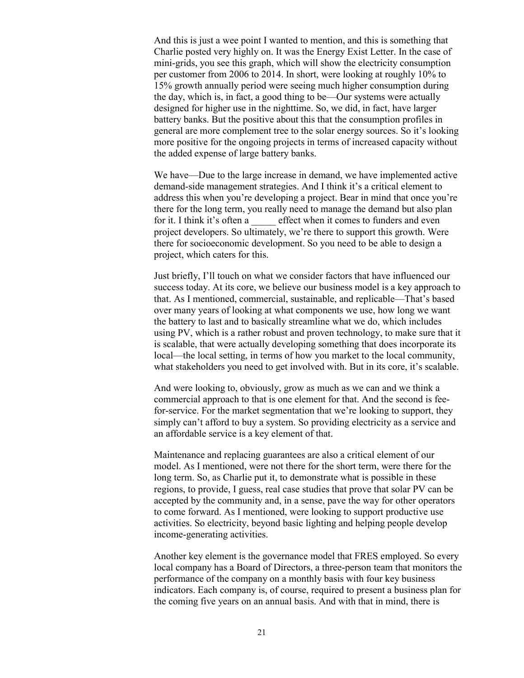And this is just a wee point I wanted to mention, and this is something that Charlie posted very highly on. It was the Energy Exist Letter. In the case of mini-grids, you see this graph, which will show the electricity consumption per customer from 2006 to 2014. In short, were looking at roughly 10% to 15% growth annually period were seeing much higher consumption during the day, which is, in fact, a good thing to be—Our systems were actually designed for higher use in the nighttime. So, we did, in fact, have larger battery banks. But the positive about this that the consumption profiles in general are more complement tree to the solar energy sources. So it's looking more positive for the ongoing projects in terms of increased capacity without the added expense of large battery banks.

We have—Due to the large increase in demand, we have implemented active demand-side management strategies. And I think it's a critical element to address this when you're developing a project. Bear in mind that once you're there for the long term, you really need to manage the demand but also plan for it. I think it's often a effect when it comes to funders and even project developers. So ultimately, we're there to support this growth. Were there for socioeconomic development. So you need to be able to design a project, which caters for this.

Just briefly, I'll touch on what we consider factors that have influenced our success today. At its core, we believe our business model is a key approach to that. As I mentioned, commercial, sustainable, and replicable—That's based over many years of looking at what components we use, how long we want the battery to last and to basically streamline what we do, which includes using PV, which is a rather robust and proven technology, to make sure that it is scalable, that were actually developing something that does incorporate its local—the local setting, in terms of how you market to the local community, what stakeholders you need to get involved with. But in its core, it's scalable.

And were looking to, obviously, grow as much as we can and we think a commercial approach to that is one element for that. And the second is feefor-service. For the market segmentation that we're looking to support, they simply can't afford to buy a system. So providing electricity as a service and an affordable service is a key element of that.

Maintenance and replacing guarantees are also a critical element of our model. As I mentioned, were not there for the short term, were there for the long term. So, as Charlie put it, to demonstrate what is possible in these regions, to provide, I guess, real case studies that prove that solar PV can be accepted by the community and, in a sense, pave the way for other operators to come forward. As I mentioned, were looking to support productive use activities. So electricity, beyond basic lighting and helping people develop income-generating activities.

Another key element is the governance model that FRES employed. So every local company has a Board of Directors, a three-person team that monitors the performance of the company on a monthly basis with four key business indicators. Each company is, of course, required to present a business plan for the coming five years on an annual basis. And with that in mind, there is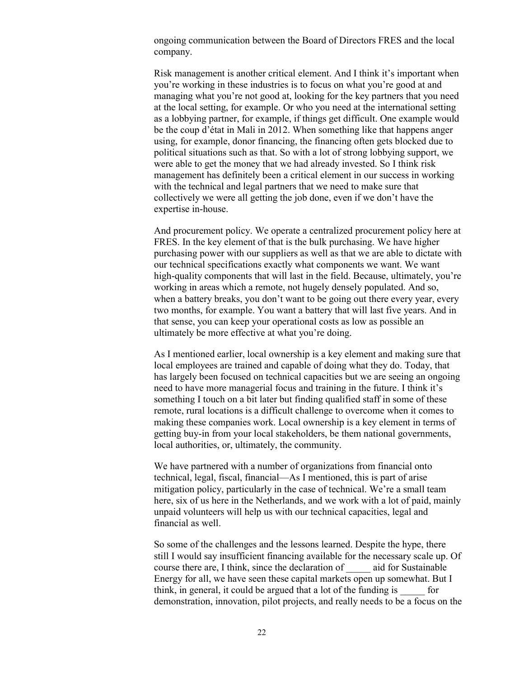ongoing communication between the Board of Directors FRES and the local company.

Risk management is another critical element. And I think it's important when you're working in these industries is to focus on what you're good at and managing what you're not good at, looking for the key partners that you need at the local setting, for example. Or who you need at the international setting as a lobbying partner, for example, if things get difficult. One example would be the coup d'état in Mali in 2012. When something like that happens anger using, for example, donor financing, the financing often gets blocked due to political situations such as that. So with a lot of strong lobbying support, we were able to get the money that we had already invested. So I think risk management has definitely been a critical element in our success in working with the technical and legal partners that we need to make sure that collectively we were all getting the job done, even if we don't have the expertise in-house.

And procurement policy. We operate a centralized procurement policy here at FRES. In the key element of that is the bulk purchasing. We have higher purchasing power with our suppliers as well as that we are able to dictate with our technical specifications exactly what components we want. We want high-quality components that will last in the field. Because, ultimately, you're working in areas which a remote, not hugely densely populated. And so, when a battery breaks, you don't want to be going out there every year, every two months, for example. You want a battery that will last five years. And in that sense, you can keep your operational costs as low as possible an ultimately be more effective at what you're doing.

As I mentioned earlier, local ownership is a key element and making sure that local employees are trained and capable of doing what they do. Today, that has largely been focused on technical capacities but we are seeing an ongoing need to have more managerial focus and training in the future. I think it's something I touch on a bit later but finding qualified staff in some of these remote, rural locations is a difficult challenge to overcome when it comes to making these companies work. Local ownership is a key element in terms of getting buy-in from your local stakeholders, be them national governments, local authorities, or, ultimately, the community.

We have partnered with a number of organizations from financial onto technical, legal, fiscal, financial—As I mentioned, this is part of arise mitigation policy, particularly in the case of technical. We're a small team here, six of us here in the Netherlands, and we work with a lot of paid, mainly unpaid volunteers will help us with our technical capacities, legal and financial as well.

So some of the challenges and the lessons learned. Despite the hype, there still I would say insufficient financing available for the necessary scale up. Of course there are, I think, since the declaration of \_\_\_\_\_ aid for Sustainable Energy for all, we have seen these capital markets open up somewhat. But I think, in general, it could be argued that a lot of the funding is \_\_\_\_\_ for demonstration, innovation, pilot projects, and really needs to be a focus on the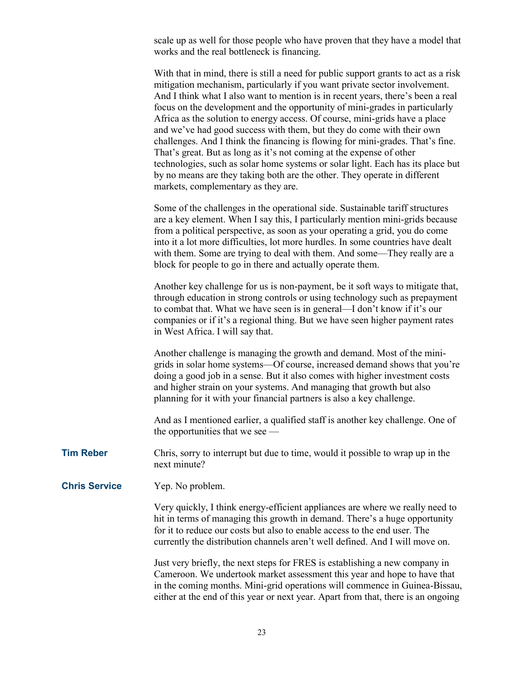scale up as well for those people who have proven that they have a model that works and the real bottleneck is financing.

Some of the challenges in the operational side. Sustainable tariff structures are a key element. When I say this, I particularly mention mini-grids because from a political perspective, as soon as your operating a grid, you do come into it a lot more difficulties, lot more hurdles. In some countries have dealt with them. Some are trying to deal with them. And some—They really are a block for people to go in there and actually operate them.

Another key challenge for us is non-payment, be it soft ways to mitigate that, through education in strong controls or using technology such as prepayment to combat that. What we have seen is in general—I don't know if it's our companies or if it's a regional thing. But we have seen higher payment rates in West Africa. I will say that.

Another challenge is managing the growth and demand. Most of the minigrids in solar home systems—Of course, increased demand shows that you're doing a good job in a sense. But it also comes with higher investment costs and higher strain on your systems. And managing that growth but also planning for it with your financial partners is also a key challenge.

And as I mentioned earlier, a qualified staff is another key challenge. One of the opportunities that we see —

**Tim Reber** Chris, sorry to interrupt but due to time, would it possible to wrap up in the next minute?

**Chris Service** Yep. No problem.

Very quickly, I think energy-efficient appliances are where we really need to hit in terms of managing this growth in demand. There's a huge opportunity for it to reduce our costs but also to enable access to the end user. The currently the distribution channels aren't well defined. And I will move on.

Just very briefly, the next steps for FRES is establishing a new company in Cameroon. We undertook market assessment this year and hope to have that in the coming months. Mini-grid operations will commence in Guinea-Bissau, either at the end of this year or next year. Apart from that, there is an ongoing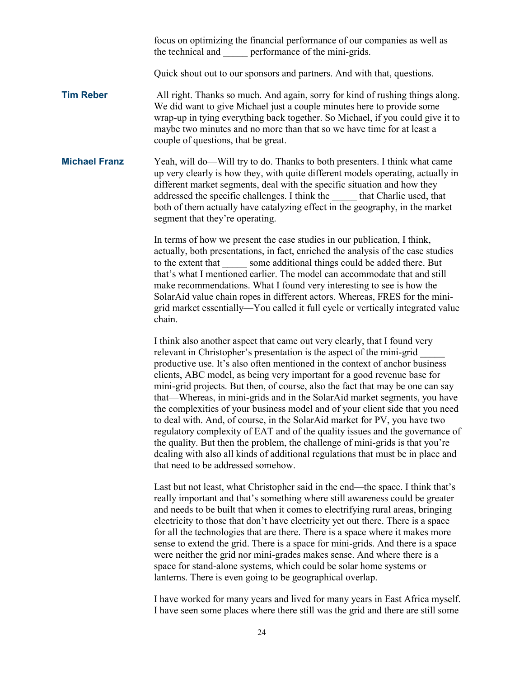focus on optimizing the financial performance of our companies as well as the technical and performance of the mini-grids.

Quick shout out to our sponsors and partners. And with that, questions.

**Tim Reber** All right. Thanks so much. And again, sorry for kind of rushing things along. We did want to give Michael just a couple minutes here to provide some wrap-up in tying everything back together. So Michael, if you could give it to maybe two minutes and no more than that so we have time for at least a couple of questions, that be great.

**Michael Franz** Yeah, will do—Will try to do. Thanks to both presenters. I think what came up very clearly is how they, with quite different models operating, actually in different market segments, deal with the specific situation and how they addressed the specific challenges. I think the \_\_\_\_\_ that Charlie used, that both of them actually have catalyzing effect in the geography, in the market segment that they're operating.

> In terms of how we present the case studies in our publication, I think, actually, both presentations, in fact, enriched the analysis of the case studies to the extent that some additional things could be added there. But that's what I mentioned earlier. The model can accommodate that and still make recommendations. What I found very interesting to see is how the SolarAid value chain ropes in different actors. Whereas, FRES for the minigrid market essentially—You called it full cycle or vertically integrated value chain.

> I think also another aspect that came out very clearly, that I found very relevant in Christopher's presentation is the aspect of the mini-grid \_\_\_\_\_ productive use. It's also often mentioned in the context of anchor business clients, ABC model, as being very important for a good revenue base for mini-grid projects. But then, of course, also the fact that may be one can say that—Whereas, in mini-grids and in the SolarAid market segments, you have the complexities of your business model and of your client side that you need to deal with. And, of course, in the SolarAid market for PV, you have two regulatory complexity of EAT and of the quality issues and the governance of the quality. But then the problem, the challenge of mini-grids is that you're dealing with also all kinds of additional regulations that must be in place and that need to be addressed somehow.

Last but not least, what Christopher said in the end—the space. I think that's really important and that's something where still awareness could be greater and needs to be built that when it comes to electrifying rural areas, bringing electricity to those that don't have electricity yet out there. There is a space for all the technologies that are there. There is a space where it makes more sense to extend the grid. There is a space for mini-grids. And there is a space were neither the grid nor mini-grades makes sense. And where there is a space for stand-alone systems, which could be solar home systems or lanterns. There is even going to be geographical overlap.

I have worked for many years and lived for many years in East Africa myself. I have seen some places where there still was the grid and there are still some